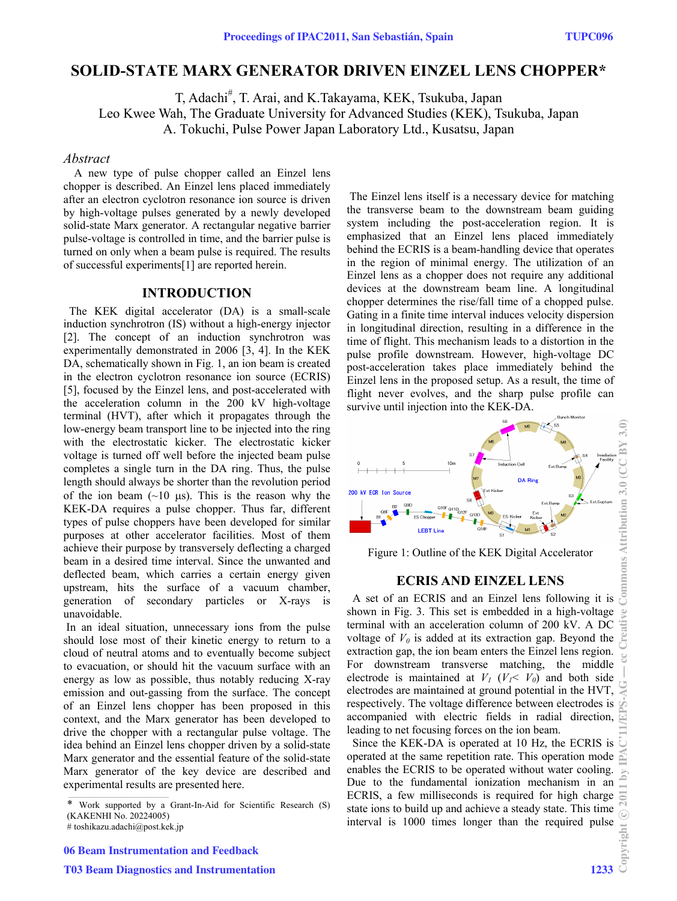# **SOLID-STATE MARX GENERATOR DRIVEN EINZEL LENS CHOPPER\***

T, Adachi<sup>#</sup>, T. Arai, and K.Takayama, KEK, Tsukuba, Japan Leo Kwee Wah, The Graduate University for Advanced Studies (KEK), Tsukuba, Japan A. Tokuchi, Pulse Power Japan Laboratory Ltd., Kusatsu, Japan

#### *Abstract*

A new type of pulse chopper called an Einzel lens chopper is described. An Einzel lens placed immediately after an electron cyclotron resonance ion source is driven by high-voltage pulses generated by a newly developed solid-state Marx generator. A rectangular negative barrier pulse-voltage is controlled in time, and the barrier pulse is turned on only when a beam pulse is required. The results of successful experiments[1] are reported herein.

#### **INTRODUCTION**

The KEK digital accelerator (DA) is a small-scale induction synchrotron (IS) without a high-energy injector [2]. The concept of an induction synchrotron was experimentally demonstrated in 2006 [3, 4]. In the KEK DA, schematically shown in Fig. 1, an ion beam is created in the electron cyclotron resonance ion source (ECRIS) [5], focused by the Einzel lens, and post-accelerated with the acceleration column in the 200 kV high-voltage terminal (HVT), after which it propagates through the low-energy beam transport line to be injected into the ring with the electrostatic kicker. The electrostatic kicker voltage is turned off well before the injected beam pulse completes a single turn in the DA ring. Thus, the pulse length should always be shorter than the revolution period of the ion beam  $(\sim 10 \text{ }\mu\text{s})$ . This is the reason why the KEK-DA requires a pulse chopper. Thus far, different types of pulse choppers have been developed for similar purposes at other accelerator facilities. Most of them achieve their purpose by transversely deflecting a charged beam in a desired time interval. Since the unwanted and deflected beam, which carries a certain energy given upstream, hits the surface of a vacuum chamber, generation of secondary particles or X-rays is unavoidable.

 In an ideal situation, unnecessary ions from the pulse should lose most of their kinetic energy to return to a cloud of neutral atoms and to eventually become subject to evacuation, or should hit the vacuum surface with an energy as low as possible, thus notably reducing X-ray emission and out-gassing from the surface. The concept of an Einzel lens chopper has been proposed in this context, and the Marx generator has been developed to drive the chopper with a rectangular pulse voltage. The idea behind an Einzel lens chopper driven by a solid-state Marx generator and the essential feature of the solid-state Marx generator of the key device are described and experimental results are presented here.

 The Einzel lens itself is a necessary device for matching the transverse beam to the downstream beam guiding system including the post-acceleration region. It is emphasized that an Einzel lens placed immediately behind the ECRIS is a beam-handling device that operates in the region of minimal energy. The utilization of an Einzel lens as a chopper does not require any additional devices at the downstream beam line. A longitudinal chopper determines the rise/fall time of a chopped pulse. Gating in a finite time interval induces velocity dispersion in longitudinal direction, resulting in a difference in the time of flight. This mechanism leads to a distortion in the pulse profile downstream. However, high-voltage DC post-acceleration takes place immediately behind the Einzel lens in the proposed setup. As a result, the time of flight never evolves, and the sharp pulse profile can survive until injection into the KEK-DA.



Figure 1: Outline of the KEK Digital Accelerator

#### **ECRIS AND EINZEL LENS**

shown in Fig. 3. This set is embedded in a high-voltage terminal with an acceleration column of 200 kV. A DC voltage of  $V_0$  is added at its extraction gap. Beyond the extraction gap, the ion beam enters the Einzel lens region. For downstream transverse matching, the middle electrode is maintained at  $V_1$  ( $V_1 < V_0$ ) and both side electrodes are maintained at ground potential in the HVT, respectively. The voltage difference between electrodes is accompanied with electric fields in radial direction, leading to net focusing forces on the ion beam.

Since the KEK-DA is operated at 10 Hz, the ECRIS is operated at the same repetition rate. This operation mode enables the ECRIS to be operated without water cooling. Due to the fundamental ionization mechanism in an ECRIS, a few milliseconds is required for high charge state ions to build up and achieve a steady state. This time interval is 1000 times longer than the required pulse

Work supported by a Grant-In-Aid for Scientific Research (S) (KAKENHI No. 20224005)

<sup>#</sup> toshikazu.adachi@post.kek.jp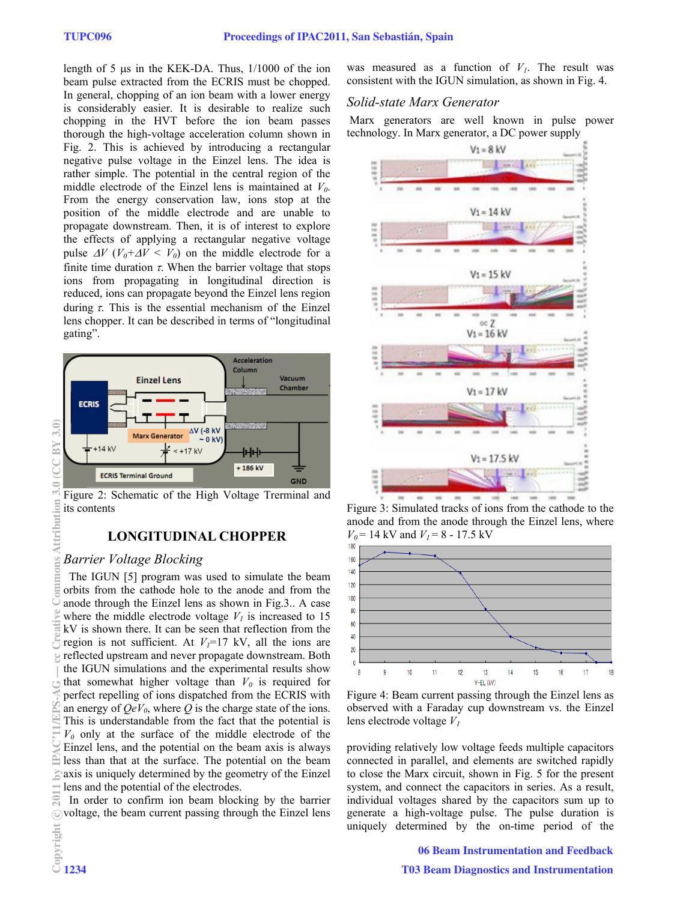length of 5  $\mu$ s in the KEK-DA. Thus,  $1/1000$  of the ion beam pulse extracted from the ECRIS must be chopped. In general, chopping of an ion beam with a lower energy is considerably easier. It is desirable to realize such chopping in the HVT before the ion beam passes thorough the high-voltage acceleration column shown in Fig. 2. This is achieved by introducing a rectangular negative pulse voltage in the Einzel lens. The idea is rather simple. The potential in the central region of the middle electrode of the Einzel lens is maintained at  $V_0$ . From the energy conservation law, ions stop at the position of the middle electrode and are unable to propagate downstream. Then, it is of interest to explore the effects of applying a rectangular negative voltage pulse  $\Delta V$  ( $V_0 + \Delta V \leq V_0$ ) on the middle electrode for a finite time duration  $\tau$ . When the barrier voltage that stops ions from propagating in longitudinal direction is reduced, ions can propagate beyond the Einzel lens region during  $\tau$ . This is the essential mechanism of the Einzel lens chopper. It can be described in terms of "longitudinal gating".



Figure 2: Schematic of the High Voltage Trerminal and its contents

## **LONGITUDINAL CHOPPER**

### *Barrier Voltage Blocking*

The IGUN [5] program was used to simulate the beam orbits from the cathode hole to the anode and from the anode through the Einzel lens as shown in Fig.3.. A case where the middle electrode voltage  $V<sub>1</sub>$  is increased to 15 kV is shown there. It can be seen that reflection from the region is not sufficient. At  $V_1=17$  kV, all the ions are reflected upstream and never propagate downstream. Both the IGUN simulations and the experimental results show that somewhat higher voltage than  $V_0$  is required for perfect repelling of ions dispatched from the ECRIS with an energy of  $QeV_0$ , where Q is the charge state of the ions. This is understandable from the fact that the potential is  $V_0$  only at the surface of the middle electrode of the Einzel lens, and the potential on the beam axis is always less than that at the surface. The potential on the beam axis is uniquely determined by the geometry of the Einzel lens and the potential of the electrodes.

In order to confirm ion beam blocking by the barrier voltage, the beam current passing through the Einzel lens was measured as a function of  $V_I$ . The result was consistent with the IGUN simulation, as shown in Fig. 4.

### *Solid-state Marx Generator*

 Marx generators are well known in pulse power technology. In Marx generator, a DC power supply



Figure 3: Simulated tracks of ions from the cathode to the anode and from the anode through the Einzel lens, where  $V_0 = 14$  kV and  $V_1 = 8 - 17.5$  kV



Figure 4: Beam current passing through the Einzel lens as observed with a Faraday cup downstream vs. the Einzel lens electrode voltage *V1* 

providing relatively low voltage feeds multiple capacitors connected in parallel, and elements are switched rapidly to close the Marx circuit, shown in Fig. 5 for the present system, and connect the capacitors in series. As a result, individual voltages shared by the capacitors sum up to generate a high-voltage pulse. The pulse duration is uniquely determined by the on-time period of the

06 Beam Instrumentation and Feedback

 $\widetilde{\mathcal{R}}$